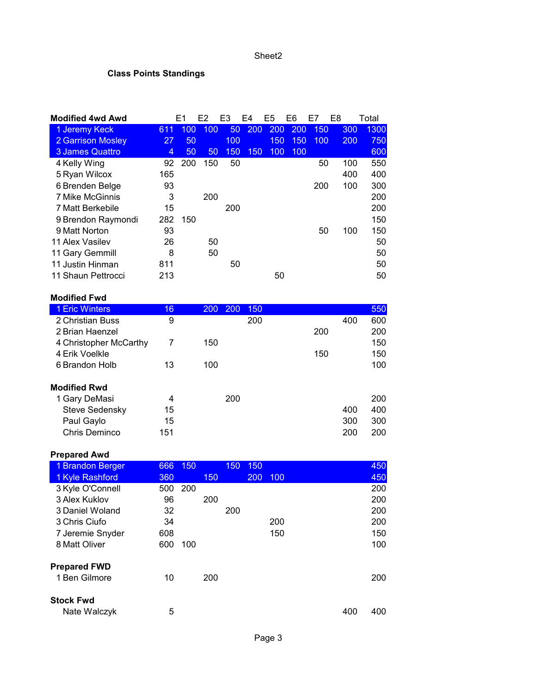#### Sheet2

# **Class Points Standings**

|     |     |    | F3             | F4                            | E5 | E6         | E7                | E8                | Total                                                                   |
|-----|-----|----|----------------|-------------------------------|----|------------|-------------------|-------------------|-------------------------------------------------------------------------|
| 611 | 100 |    | 50             |                               |    |            |                   |                   | 1300                                                                    |
| 27  | 50  |    | 100            |                               |    |            |                   |                   | 750                                                                     |
| 4   | 50  | 50 | 150            |                               |    |            |                   |                   | 600                                                                     |
| 92  | 200 |    | 50             |                               |    |            |                   |                   | 550                                                                     |
| 165 |     |    |                |                               |    |            |                   |                   | 400                                                                     |
| 93  |     |    |                |                               |    |            |                   |                   | 300                                                                     |
| 3   |     |    |                |                               |    |            |                   |                   | 200                                                                     |
| 15  |     |    | 200            |                               |    |            |                   |                   | 200                                                                     |
| 282 | 150 |    |                |                               |    |            |                   |                   | 150                                                                     |
| 93  |     |    |                |                               |    |            |                   |                   | 150                                                                     |
| 26  |     |    |                |                               |    |            |                   |                   | 50                                                                      |
| 8   |     |    |                |                               |    |            |                   |                   | 50                                                                      |
| 811 |     |    | 50             |                               |    |            |                   |                   | 50                                                                      |
| 213 |     |    |                |                               | 50 |            |                   |                   | 50                                                                      |
|     |     | F1 | F <sub>2</sub> | 100<br>150<br>200<br>50<br>50 |    | 200<br>150 | 200<br>150<br>100 | 200<br>150<br>100 | 150<br>300<br>100<br>200<br>50<br>100<br>400<br>100<br>200<br>50<br>100 |

### **Modified Fwd**

| 16  | <b>200</b> | 200 |            |     | 550 |
|-----|------------|-----|------------|-----|-----|
| 9   |            |     |            | 400 | 600 |
|     |            |     | 200        |     | 200 |
| 7   | 150        |     |            |     | 150 |
|     |            |     | 150        |     | 150 |
| 13  | 100        |     |            |     | 100 |
|     |            |     |            |     |     |
| 4   |            | 200 |            |     | 200 |
| 15  |            |     |            | 400 | 400 |
| 15  |            |     |            | 300 | 300 |
| 151 |            |     |            | 200 | 200 |
|     |            |     | 150<br>200 |     |     |

### **Prepared Awd**

| 1 Brandon Berger    | 666 | 150 |     | 150 | 150 |     |     | 450 |
|---------------------|-----|-----|-----|-----|-----|-----|-----|-----|
| 1 Kyle Rashford     | 360 |     | 150 |     | 200 | 100 |     | 450 |
| 3 Kyle O'Connell    | 500 | 200 |     |     |     |     |     | 200 |
| 3 Alex Kuklov       | 96  |     | 200 |     |     |     |     | 200 |
| 3 Daniel Woland     | 32  |     |     | 200 |     |     |     | 200 |
| 3 Chris Ciufo       | 34  |     |     |     |     | 200 |     | 200 |
| 7 Jeremie Snyder    | 608 |     |     |     |     | 150 |     | 150 |
| 8 Matt Oliver       | 600 | 100 |     |     |     |     |     | 100 |
| <b>Prepared FWD</b> |     |     |     |     |     |     |     |     |
| 1 Ben Gilmore       | 10  |     | 200 |     |     |     |     | 200 |
| <b>Stock Fwd</b>    |     |     |     |     |     |     |     |     |
| Nate Walczyk        | 5   |     |     |     |     |     | 400 | 400 |